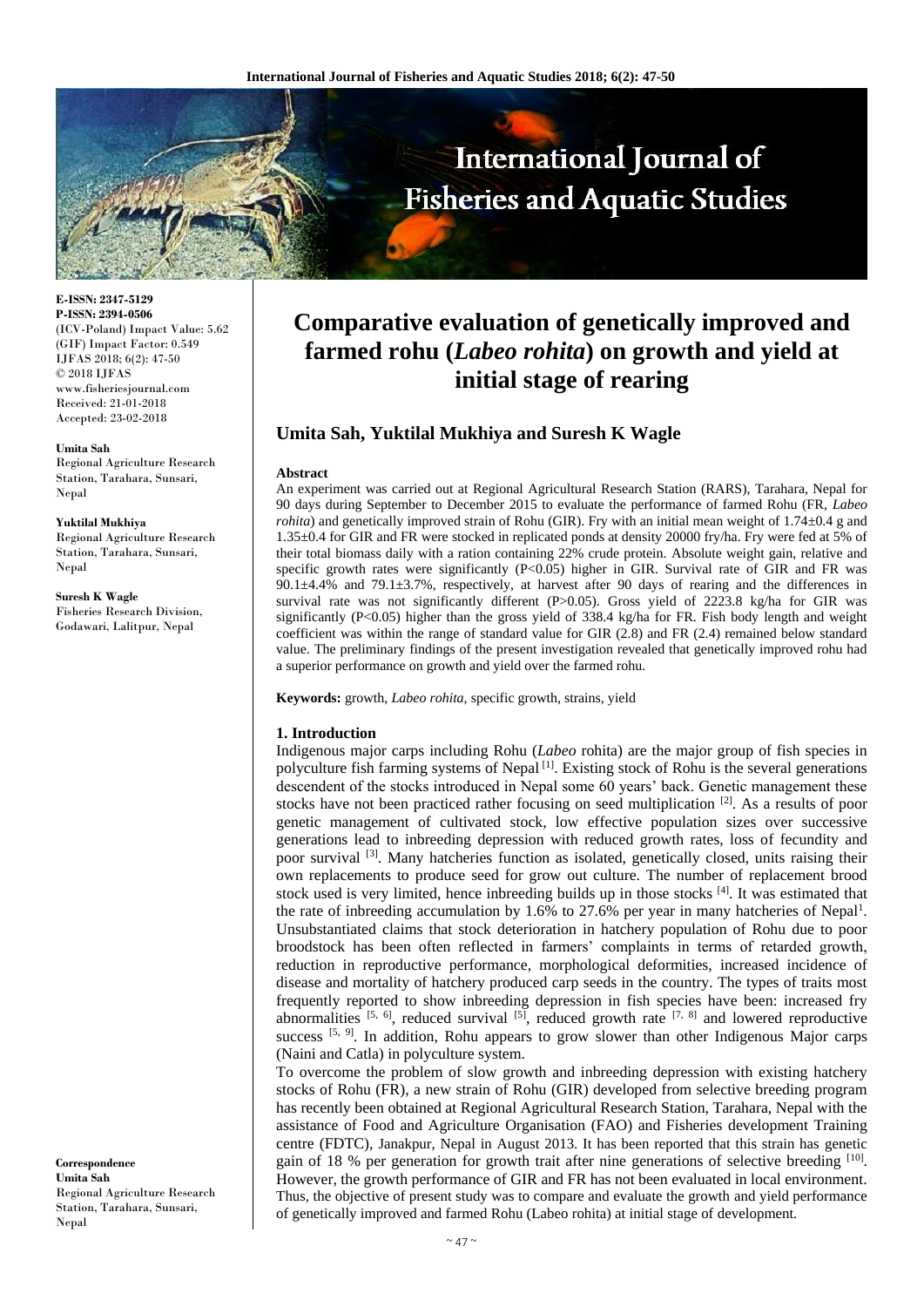

**E-ISSN: 2347-5129 P-ISSN: 2394-0506** (ICV-Poland) Impact Value: 5.62 (GIF) Impact Factor: 0.549 IJFAS 2018; 6(2): 47-50 © 2018 IJFAS www.fisheriesjournal.com Received: 21-01-2018 Accepted: 23-02-2018

**Umita Sah** Regional Agriculture Research Station, Tarahara, Sunsari,

#### **Yuktilal Mukhiya**

Nepal

Regional Agriculture Research Station, Tarahara, Sunsari, Nepal

**Suresh K Wagle** Fisheries Research Division, Godawari, Lalitpur, Nepal

**Correspondence Umita Sah** Regional Agriculture Research Station, Tarahara, Sunsari, Nepal

# **Comparative evaluation of genetically improved and farmed rohu (***Labeo rohita***) on growth and yield at initial stage of rearing**

# **Umita Sah, Yuktilal Mukhiya and Suresh K Wagle**

#### **Abstract**

An experiment was carried out at Regional Agricultural Research Station (RARS), Tarahara, Nepal for 90 days during September to December 2015 to evaluate the performance of farmed Rohu (FR, *Labeo rohita*) and genetically improved strain of Rohu (GIR). Fry with an initial mean weight of 1.74±0.4 g and 1.35±0.4 for GIR and FR were stocked in replicated ponds at density 20000 fry/ha. Fry were fed at 5% of their total biomass daily with a ration containing 22% crude protein. Absolute weight gain, relative and specific growth rates were significantly (P<0.05) higher in GIR. Survival rate of GIR and FR was 90.1±4.4% and 79.1±3.7%, respectively, at harvest after 90 days of rearing and the differences in survival rate was not significantly different (P>0.05). Gross yield of 2223.8 kg/ha for GIR was significantly (P<0.05) higher than the gross yield of 338.4 kg/ha for FR. Fish body length and weight coefficient was within the range of standard value for GIR (2.8) and FR (2.4) remained below standard value. The preliminary findings of the present investigation revealed that genetically improved rohu had a superior performance on growth and yield over the farmed rohu.

**Keywords:** growth, *Labeo rohita,* specific growth, strains, yield

#### **1. Introduction**

Indigenous major carps including Rohu (*Labeo* rohita) are the major group of fish species in polyculture fish farming systems of Nepal  $[1]$ . Existing stock of Rohu is the several generations descendent of the stocks introduced in Nepal some 60 years' back. Genetic management these stocks have not been practiced rather focusing on seed multiplication  $[2]$ . As a results of poor genetic management of cultivated stock, low effective population sizes over successive generations lead to inbreeding depression with reduced growth rates, loss of fecundity and poor survival <sup>[3]</sup>. Many hatcheries function as isolated, genetically closed, units raising their own replacements to produce seed for grow out culture. The number of replacement brood stock used is very limited, hence inbreeding builds up in those stocks [4]. It was estimated that the rate of inbreeding accumulation by 1.6% to 27.6% per year in many hatcheries of Nepal<sup>1</sup>. Unsubstantiated claims that stock deterioration in hatchery population of Rohu due to poor broodstock has been often reflected in farmers' complaints in terms of retarded growth, reduction in reproductive performance, morphological deformities, increased incidence of disease and mortality of hatchery produced carp seeds in the country. The types of traits most frequently reported to show inbreeding depression in fish species have been: increased fry abnormalities  $[5, 6]$ , reduced survival  $[5]$ , reduced growth rate  $[7, 8]$  and lowered reproductive success  $[5, 9]$ . In addition, Rohu appears to grow slower than other Indigenous Major carps (Naini and Catla) in polyculture system.

To overcome the problem of slow growth and inbreeding depression with existing hatchery stocks of Rohu (FR), a new strain of Rohu (GIR) developed from selective breeding program has recently been obtained at Regional Agricultural Research Station, Tarahara, Nepal with the assistance of Food and Agriculture Organisation (FAO) and Fisheries development Training centre (FDTC), Janakpur, Nepal in August 2013. It has been reported that this strain has genetic gain of 18 % per generation for growth trait after nine generations of selective breeding [10]. However, the growth performance of GIR and FR has not been evaluated in local environment. Thus, the objective of present study was to compare and evaluate the growth and yield performance of genetically improved and farmed Rohu (Labeo rohita) at initial stage of development.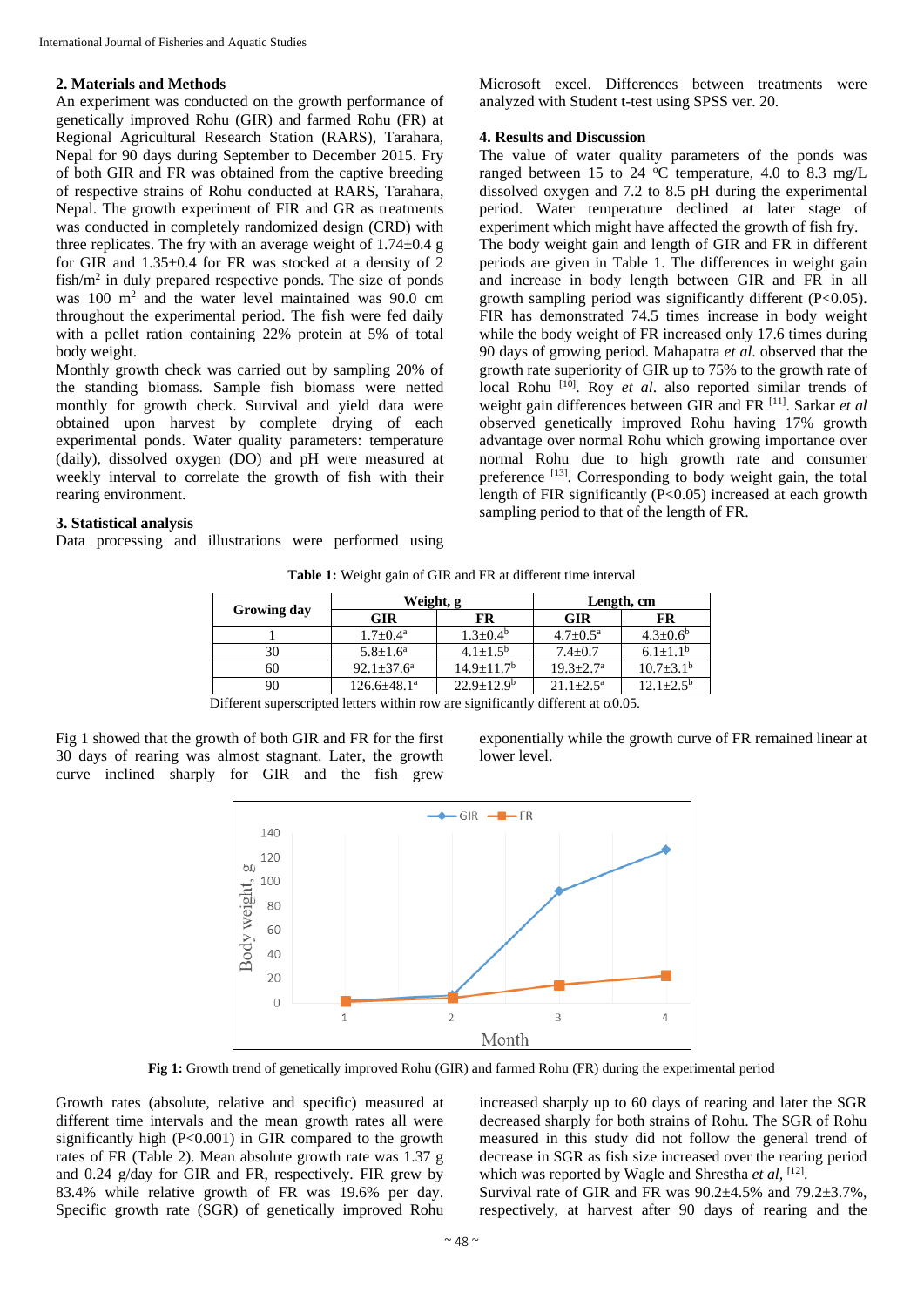#### **2. Materials and Methods**

An experiment was conducted on the growth performance of genetically improved Rohu (GIR) and farmed Rohu (FR) at Regional Agricultural Research Station (RARS), Tarahara, Nepal for 90 days during September to December 2015. Fry of both GIR and FR was obtained from the captive breeding of respective strains of Rohu conducted at RARS, Tarahara, Nepal. The growth experiment of FIR and GR as treatments was conducted in completely randomized design (CRD) with three replicates. The fry with an average weight of  $1.74 \pm 0.4$  g for GIR and 1.35±0.4 for FR was stocked at a density of 2  $fish/m<sup>2</sup>$  in duly prepared respective ponds. The size of ponds was 100 m<sup>2</sup> and the water level maintained was 90.0 cm throughout the experimental period. The fish were fed daily with a pellet ration containing 22% protein at 5% of total body weight.

Monthly growth check was carried out by sampling 20% of the standing biomass. Sample fish biomass were netted monthly for growth check. Survival and yield data were obtained upon harvest by complete drying of each experimental ponds. Water quality parameters: temperature (daily), dissolved oxygen (DO) and pH were measured at weekly interval to correlate the growth of fish with their rearing environment.

# Microsoft excel. Differences between treatments were analyzed with Student t-test using SPSS ver. 20.

# **4. Results and Discussion**

The value of water quality parameters of the ponds was ranged between 15 to 24  $\degree$ C temperature, 4.0 to 8.3 mg/L dissolved oxygen and 7.2 to 8.5 pH during the experimental period. Water temperature declined at later stage of experiment which might have affected the growth of fish fry. The body weight gain and length of GIR and FR in different periods are given in Table 1. The differences in weight gain and increase in body length between GIR and FR in all growth sampling period was significantly different (P<0.05). FIR has demonstrated 74.5 times increase in body weight while the body weight of FR increased only 17.6 times during 90 days of growing period. Mahapatra *et al*. observed that the growth rate superiority of GIR up to 75% to the growth rate of local Rohu<sup>[10]</sup>. Roy *et al*. also reported similar trends of weight gain differences between GIR and FR [11] . Sarkar *et al* observed genetically improved Rohu having 17% growth advantage over normal Rohu which growing importance over normal Rohu due to high growth rate and consumer preference [13]. Corresponding to body weight gain, the total length of FIR significantly (P<0.05) increased at each growth sampling period to that of the length of FR.

# **3. Statistical analysis**

Data processing and illustrations were performed using

| Growing day | Weight, g             |                 | Length, cm         |                        |  |  |
|-------------|-----------------------|-----------------|--------------------|------------------------|--|--|
|             | <b>GIR</b>            | FR              | <b>GIR</b>         | FR                     |  |  |
|             | $1.7 \pm 0.4^{\rm a}$ | $1.3 + 0.4^b$   | $4.7+0.5^{\rm a}$  | $4.3 + 0.6^b$          |  |  |
| 30          | $5.8 + 1.6^a$         | $4.1 + 1.5^{b}$ | $7.4+0.7$          | $6.1 + 1.1b$           |  |  |
| 60          | $92.1 + 37.6^a$       | $14.9 + 11.7b$  | $19.3 + 2.7^a$     | $10.7 \pm 3.1^{\rm b}$ |  |  |
| 90          | $126.6 \pm 48.1^a$    | $22.9+12.9b$    | $21.1+2.5^{\rm a}$ | $12.1 + 2.5^{\circ}$   |  |  |

**Table 1:** Weight gain of GIR and FR at different time interval

|  | Different superscripted letters within row are significantly different at $\alpha$ 0.05. |  |
|--|------------------------------------------------------------------------------------------|--|
|  |                                                                                          |  |

Fig 1 showed that the growth of both GIR and FR for the first 30 days of rearing was almost stagnant. Later, the growth curve inclined sharply for GIR and the fish grew

exponentially while the growth curve of FR remained linear at lower level.



**Fig 1:** Growth trend of genetically improved Rohu (GIR) and farmed Rohu (FR) during the experimental period

Growth rates (absolute, relative and specific) measured at different time intervals and the mean growth rates all were significantly high (P<0.001) in GIR compared to the growth rates of FR (Table 2). Mean absolute growth rate was 1.37 g and 0.24 g/day for GIR and FR, respectively. FIR grew by 83.4% while relative growth of FR was 19.6% per day. Specific growth rate (SGR) of genetically improved Rohu

increased sharply up to 60 days of rearing and later the SGR decreased sharply for both strains of Rohu. The SGR of Rohu measured in this study did not follow the general trend of decrease in SGR as fish size increased over the rearing period which was reported by Wagle and Shrestha et al, <sup>[12]</sup>.

Survival rate of GIR and FR was 90.2±4.5% and 79.2±3.7%, respectively, at harvest after 90 days of rearing and the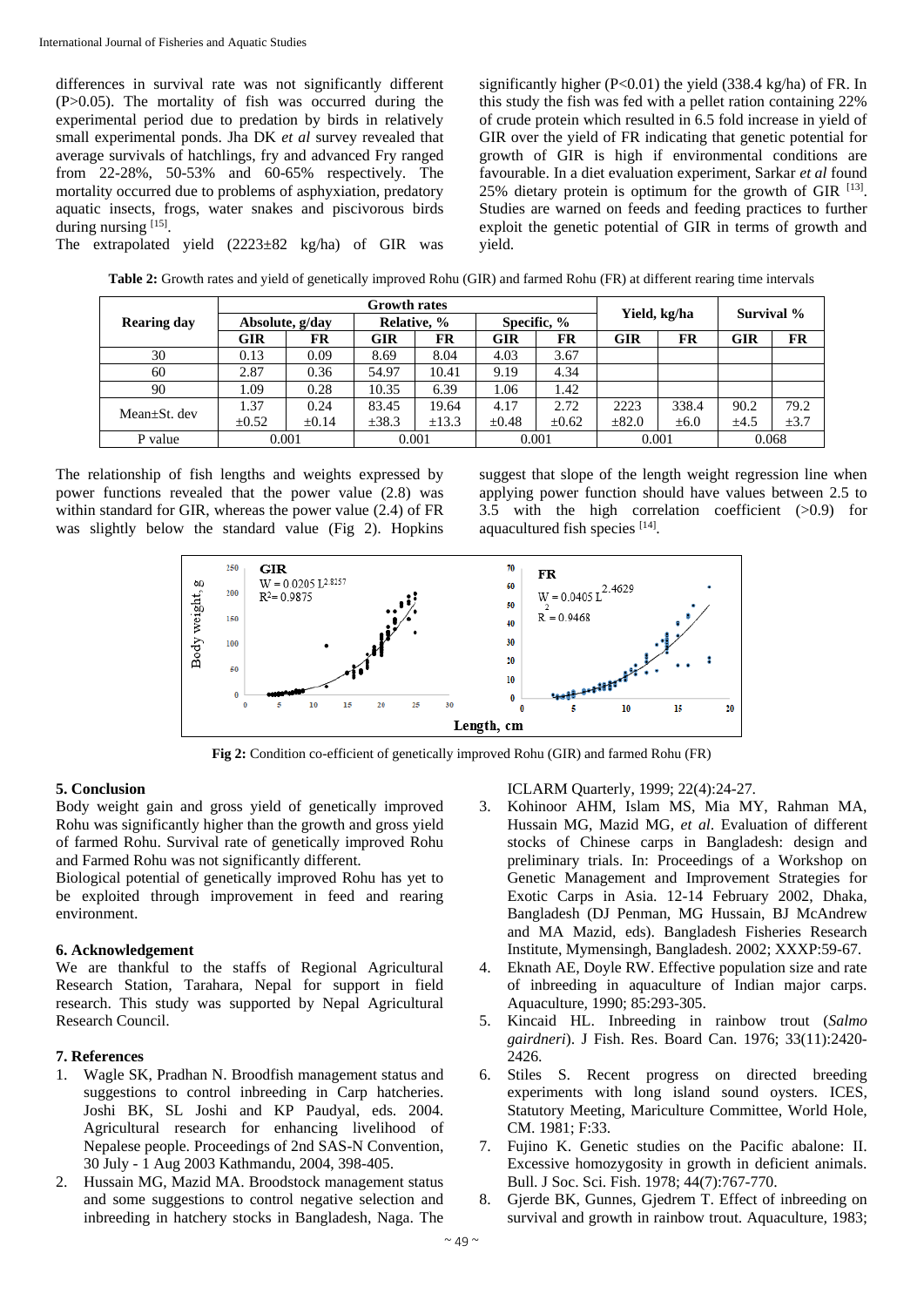differences in survival rate was not significantly different (P>0.05). The mortality of fish was occurred during the experimental period due to predation by birds in relatively small experimental ponds. Jha DK *et al* survey revealed that average survivals of hatchlings, fry and advanced Fry ranged from 22-28%, 50-53% and 60-65% respectively. The mortality occurred due to problems of asphyxiation, predatory aquatic insects, frogs, water snakes and piscivorous birds during nursing [15].

The extrapolated yield (2223±82 kg/ha) of GIR was

significantly higher (P<0.01) the yield (338.4 kg/ha) of FR. In this study the fish was fed with a pellet ration containing 22% of crude protein which resulted in 6.5 fold increase in yield of GIR over the yield of FR indicating that genetic potential for growth of GIR is high if environmental conditions are favourable. In a diet evaluation experiment, Sarkar *et al* found  $25\%$  dietary protein is optimum for the growth of GIR  $^{[13]}$ . Studies are warned on feeds and feeding practices to further exploit the genetic potential of GIR in terms of growth and yield.

**Table 2:** Growth rates and yield of genetically improved Rohu (GIR) and farmed Rohu (FR) at different rearing time intervals

|                    | <b>Growth rates</b> |            |             |            |             |            | Survival %   |           |            |           |
|--------------------|---------------------|------------|-------------|------------|-------------|------------|--------------|-----------|------------|-----------|
| <b>Rearing day</b> | Absolute, g/day     |            | Relative, % |            | Specific, % |            | Yield, kg/ha |           |            |           |
|                    | GIR                 | FR         | GIR         | FR         | GIR         | FR         | <b>GIR</b>   | FR        | <b>GIR</b> | FR        |
| 30                 | 0.13                | 0.09       | 8.69        | 8.04       | 4.03        | 3.67       |              |           |            |           |
| 60                 | 2.87                | 0.36       | 54.97       | 10.41      | 9.19        | 4.34       |              |           |            |           |
| 90                 | 1.09                | 0.28       | 10.35       | 6.39       | 1.06        | 1.42       |              |           |            |           |
| Mean+St. dev       | 1.37                | 0.24       | 83.45       | 19.64      | 4.17        | 2.72       | 2223         | 338.4     | 90.2       | 79.2      |
|                    | $\pm 0.52$          | $\pm 0.14$ | ±38.3       | $\pm$ 13.3 | $\pm 0.48$  | $\pm 0.62$ | $\pm 82.0$   | $\pm 6.0$ | $\pm 4.5$  | $\pm 3.7$ |
| P value            | 0.001               |            | 0.001       |            | 0.001       |            | 0.001        |           | 0.068      |           |

The relationship of fish lengths and weights expressed by power functions revealed that the power value (2.8) was within standard for GIR, whereas the power value (2.4) of FR was slightly below the standard value (Fig 2). Hopkins

suggest that slope of the length weight regression line when applying power function should have values between 2.5 to 3.5 with the high correlation coefficient (>0.9) for aquacultured fish species [14].



**Fig 2:** Condition co-efficient of genetically improved Rohu (GIR) and farmed Rohu (FR)

# **5. Conclusion**

Body weight gain and gross yield of genetically improved Rohu was significantly higher than the growth and gross yield of farmed Rohu. Survival rate of genetically improved Rohu and Farmed Rohu was not significantly different.

Biological potential of genetically improved Rohu has yet to be exploited through improvement in feed and rearing environment.

# **6. Acknowledgement**

We are thankful to the staffs of Regional Agricultural Research Station, Tarahara, Nepal for support in field research. This study was supported by Nepal Agricultural Research Council.

# **7. References**

- 1. Wagle SK, Pradhan N. Broodfish management status and suggestions to control inbreeding in Carp hatcheries. Joshi BK, SL Joshi and KP Paudyal, eds. 2004. Agricultural research for enhancing livelihood of Nepalese people. Proceedings of 2nd SAS-N Convention, 30 July - 1 Aug 2003 Kathmandu, 2004, 398-405.
- 2. Hussain MG, Mazid MA. Broodstock management status and some suggestions to control negative selection and inbreeding in hatchery stocks in Bangladesh, Naga. The

ICLARM Quarterly, 1999; 22(4):24-27.

- 3. Kohinoor AHM, Islam MS, Mia MY, Rahman MA, Hussain MG, Mazid MG, *et al*. Evaluation of different stocks of Chinese carps in Bangladesh: design and preliminary trials. In: Proceedings of a Workshop on Genetic Management and Improvement Strategies for Exotic Carps in Asia. 12-14 February 2002, Dhaka, Bangladesh (DJ Penman, MG Hussain, BJ McAndrew and MA Mazid, eds). Bangladesh Fisheries Research Institute, Mymensingh, Bangladesh. 2002; XXXP:59-67.
- 4. Eknath AE, Doyle RW. Effective population size and rate of inbreeding in aquaculture of Indian major carps. Aquaculture*,* 1990; 85:293-305.
- 5. Kincaid HL. Inbreeding in rainbow trout (*Salmo gairdneri*). J Fish. Res. Board Can. 1976; 33(11):2420- 2426.
- 6. Stiles S. Recent progress on directed breeding experiments with long island sound oysters*.* ICES, Statutory Meeting, Mariculture Committee, World Hole, CM. 1981; F:33.
- 7. Fujino K. Genetic studies on the Pacific abalone: II. Excessive homozygosity in growth in deficient animals. Bull. J Soc. Sci. Fish. 1978; 44(7):767-770.
- 8. Gjerde BK, Gunnes, Gjedrem T. Effect of inbreeding on survival and growth in rainbow trout. Aquaculture*,* 1983;